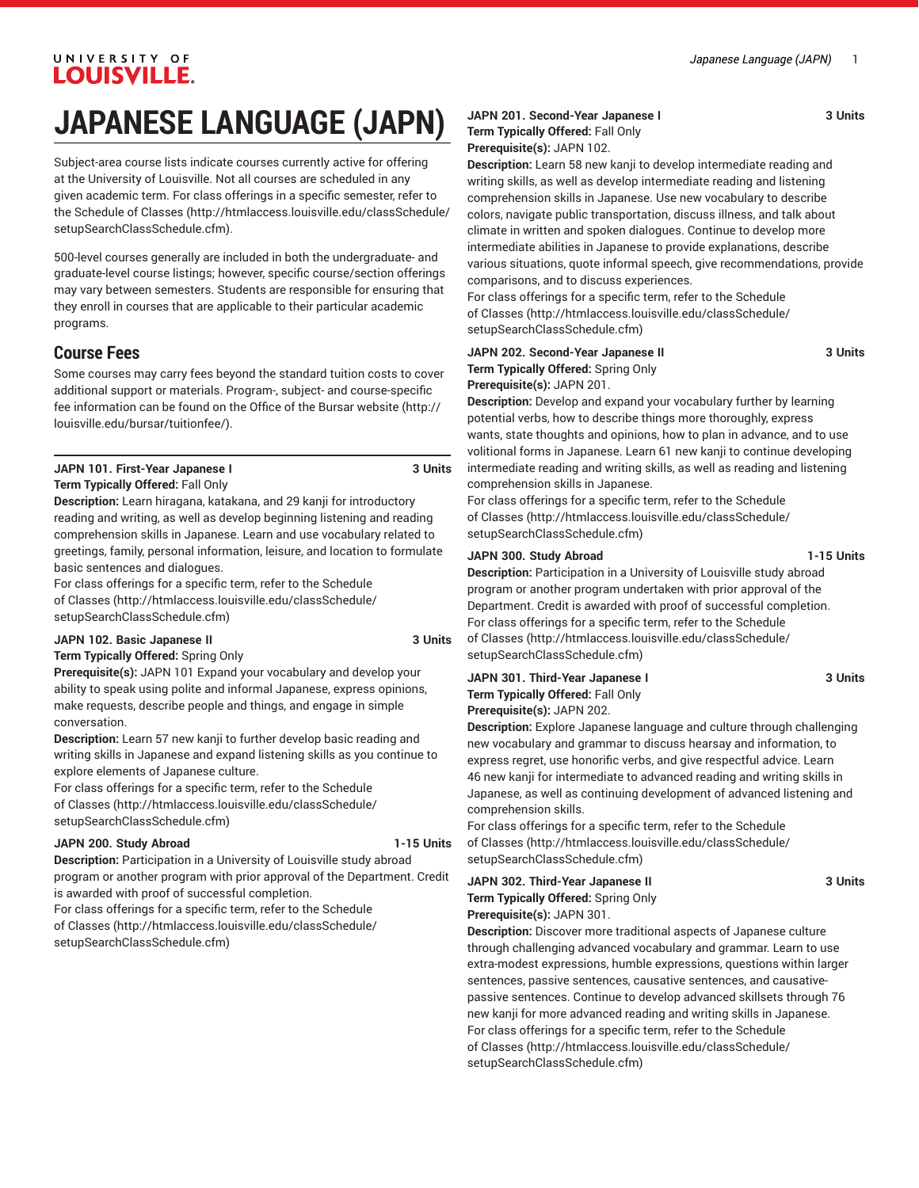# UNIVERSITY OF **LOUISVILLE.**

# **JAPANESE LANGUAGE (JAPN)**

Subject-area course lists indicate courses currently active for offering at the University of Louisville. Not all courses are scheduled in any given academic term. For class offerings in a specific semester, refer to the [Schedule of Classes](http://htmlaccess.louisville.edu/classSchedule/setupSearchClassSchedule.cfm) ([http://htmlaccess.louisville.edu/classSchedule/](http://htmlaccess.louisville.edu/classSchedule/setupSearchClassSchedule.cfm) [setupSearchClassSchedule.cfm\)](http://htmlaccess.louisville.edu/classSchedule/setupSearchClassSchedule.cfm).

500-level courses generally are included in both the undergraduate- and graduate-level course listings; however, specific course/section offerings may vary between semesters. Students are responsible for ensuring that they enroll in courses that are applicable to their particular academic programs.

# **Course Fees**

Some courses may carry fees beyond the standard tuition costs to cover additional support or materials. Program-, subject- and course-specific fee information can be found on the [Office of the Bursar website](http://louisville.edu/bursar/tuitionfee/) ([http://](http://louisville.edu/bursar/tuitionfee/) [louisville.edu/bursar/tuitionfee/](http://louisville.edu/bursar/tuitionfee/)).

#### **JAPN 101. First-Year Japanese I 3 Units Term Typically Offered:** Fall Only

**Description:** Learn hiragana, katakana, and 29 kanji for introductory reading and writing, as well as develop beginning listening and reading comprehension skills in Japanese. Learn and use vocabulary related to greetings, family, personal information, leisure, and location to formulate

basic sentences and dialogues. For class offerings for a specific term, refer to the [Schedule](http://htmlaccess.louisville.edu/classSchedule/setupSearchClassSchedule.cfm) [of Classes \(http://htmlaccess.louisville.edu/classSchedule/](http://htmlaccess.louisville.edu/classSchedule/setupSearchClassSchedule.cfm) [setupSearchClassSchedule.cfm\)](http://htmlaccess.louisville.edu/classSchedule/setupSearchClassSchedule.cfm)

#### **JAPN 102. Basic Japanese II 3 Units**

**Term Typically Offered:** Spring Only

**Prerequisite(s):** JAPN 101 Expand your vocabulary and develop your ability to speak using polite and informal Japanese, express opinions, make requests, describe people and things, and engage in simple conversation.

**Description:** Learn 57 new kanji to further develop basic reading and writing skills in Japanese and expand listening skills as you continue to explore elements of Japanese culture.

For class offerings for a specific term, refer to the [Schedule](http://htmlaccess.louisville.edu/classSchedule/setupSearchClassSchedule.cfm) [of Classes \(http://htmlaccess.louisville.edu/classSchedule/](http://htmlaccess.louisville.edu/classSchedule/setupSearchClassSchedule.cfm) [setupSearchClassSchedule.cfm\)](http://htmlaccess.louisville.edu/classSchedule/setupSearchClassSchedule.cfm)

#### **JAPN 200. Study Abroad 1-15 Units**

**Description:** Participation in a University of Louisville study abroad program or another program with prior approval of the Department. Credit is awarded with proof of successful completion.

For class offerings for a specific term, refer to the [Schedule](http://htmlaccess.louisville.edu/classSchedule/setupSearchClassSchedule.cfm)

[of Classes \(http://htmlaccess.louisville.edu/classSchedule/](http://htmlaccess.louisville.edu/classSchedule/setupSearchClassSchedule.cfm) [setupSearchClassSchedule.cfm\)](http://htmlaccess.louisville.edu/classSchedule/setupSearchClassSchedule.cfm)

## **JAPN 201. Second-Year Japanese I 3 Units Term Typically Offered:** Fall Only

**Prerequisite(s):** JAPN 102.

**Description:** Learn 58 new kanji to develop intermediate reading and writing skills, as well as develop intermediate reading and listening comprehension skills in Japanese. Use new vocabulary to describe colors, navigate public transportation, discuss illness, and talk about climate in written and spoken dialogues. Continue to develop more intermediate abilities in Japanese to provide explanations, describe various situations, quote informal speech, give recommendations, provide comparisons, and to discuss experiences.

For class offerings for a specific term, refer to the [Schedule](http://htmlaccess.louisville.edu/classSchedule/setupSearchClassSchedule.cfm) [of Classes](http://htmlaccess.louisville.edu/classSchedule/setupSearchClassSchedule.cfm) ([http://htmlaccess.louisville.edu/classSchedule/](http://htmlaccess.louisville.edu/classSchedule/setupSearchClassSchedule.cfm) [setupSearchClassSchedule.cfm\)](http://htmlaccess.louisville.edu/classSchedule/setupSearchClassSchedule.cfm)

#### **JAPN 202. Second-Year Japanese II 3 Units Term Typically Offered:** Spring Only **Prerequisite(s):** JAPN 201.

**Description:** Develop and expand your vocabulary further by learning potential verbs, how to describe things more thoroughly, express wants, state thoughts and opinions, how to plan in advance, and to use volitional forms in Japanese. Learn 61 new kanji to continue developing intermediate reading and writing skills, as well as reading and listening comprehension skills in Japanese.

For class offerings for a specific term, refer to the [Schedule](http://htmlaccess.louisville.edu/classSchedule/setupSearchClassSchedule.cfm) [of Classes](http://htmlaccess.louisville.edu/classSchedule/setupSearchClassSchedule.cfm) ([http://htmlaccess.louisville.edu/classSchedule/](http://htmlaccess.louisville.edu/classSchedule/setupSearchClassSchedule.cfm) [setupSearchClassSchedule.cfm\)](http://htmlaccess.louisville.edu/classSchedule/setupSearchClassSchedule.cfm)

#### **JAPN 300. Study Abroad 1-15 Units**

**Description:** Participation in a University of Louisville study abroad program or another program undertaken with prior approval of the Department. Credit is awarded with proof of successful completion. For class offerings for a specific term, refer to the [Schedule](http://htmlaccess.louisville.edu/classSchedule/setupSearchClassSchedule.cfm) [of Classes](http://htmlaccess.louisville.edu/classSchedule/setupSearchClassSchedule.cfm) ([http://htmlaccess.louisville.edu/classSchedule/](http://htmlaccess.louisville.edu/classSchedule/setupSearchClassSchedule.cfm) [setupSearchClassSchedule.cfm\)](http://htmlaccess.louisville.edu/classSchedule/setupSearchClassSchedule.cfm)

#### **JAPN 301. Third-Year Japanese I 3 Units Term Typically Offered:** Fall Only **Prerequisite(s):** JAPN 202.

**Description:** Explore Japanese language and culture through challenging new vocabulary and grammar to discuss hearsay and information, to express regret, use honorific verbs, and give respectful advice. Learn 46 new kanji for intermediate to advanced reading and writing skills in Japanese, as well as continuing development of advanced listening and comprehension skills.

For class offerings for a specific term, refer to the [Schedule](http://htmlaccess.louisville.edu/classSchedule/setupSearchClassSchedule.cfm) [of Classes](http://htmlaccess.louisville.edu/classSchedule/setupSearchClassSchedule.cfm) ([http://htmlaccess.louisville.edu/classSchedule/](http://htmlaccess.louisville.edu/classSchedule/setupSearchClassSchedule.cfm) [setupSearchClassSchedule.cfm\)](http://htmlaccess.louisville.edu/classSchedule/setupSearchClassSchedule.cfm)

**JAPN 302. Third-Year Japanese II 3 Units Term Typically Offered:** Spring Only **Prerequisite(s):** JAPN 301.

**Description:** Discover more traditional aspects of Japanese culture through challenging advanced vocabulary and grammar. Learn to use extra-modest expressions, humble expressions, questions within larger sentences, passive sentences, causative sentences, and causativepassive sentences. Continue to develop advanced skillsets through 76 new kanji for more advanced reading and writing skills in Japanese. For class offerings for a specific term, refer to the [Schedule](http://htmlaccess.louisville.edu/classSchedule/setupSearchClassSchedule.cfm) [of Classes](http://htmlaccess.louisville.edu/classSchedule/setupSearchClassSchedule.cfm) ([http://htmlaccess.louisville.edu/classSchedule/](http://htmlaccess.louisville.edu/classSchedule/setupSearchClassSchedule.cfm) [setupSearchClassSchedule.cfm\)](http://htmlaccess.louisville.edu/classSchedule/setupSearchClassSchedule.cfm)